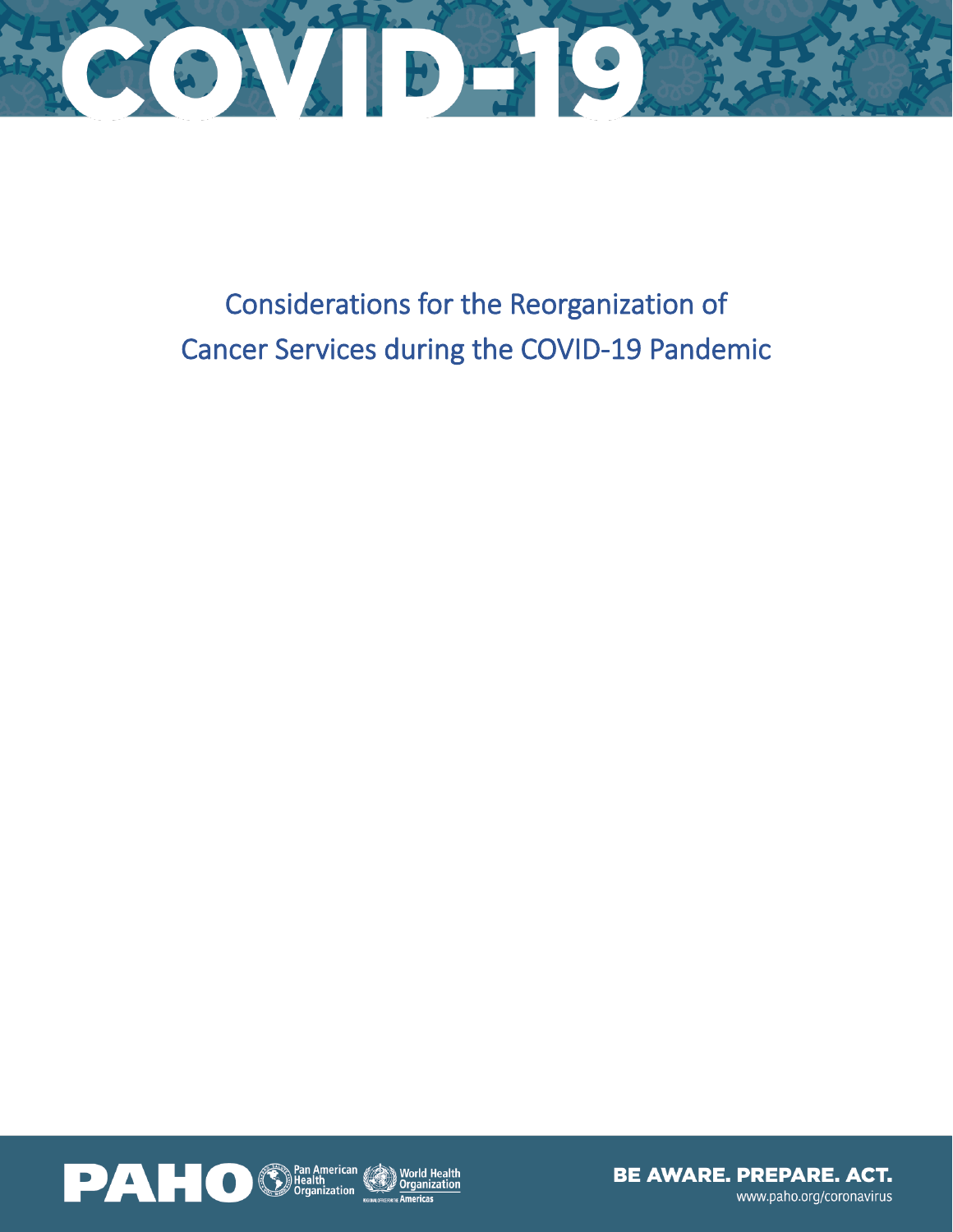

Considerations for the Reorganization of Cancer Services during the COVID-19 Pandemic



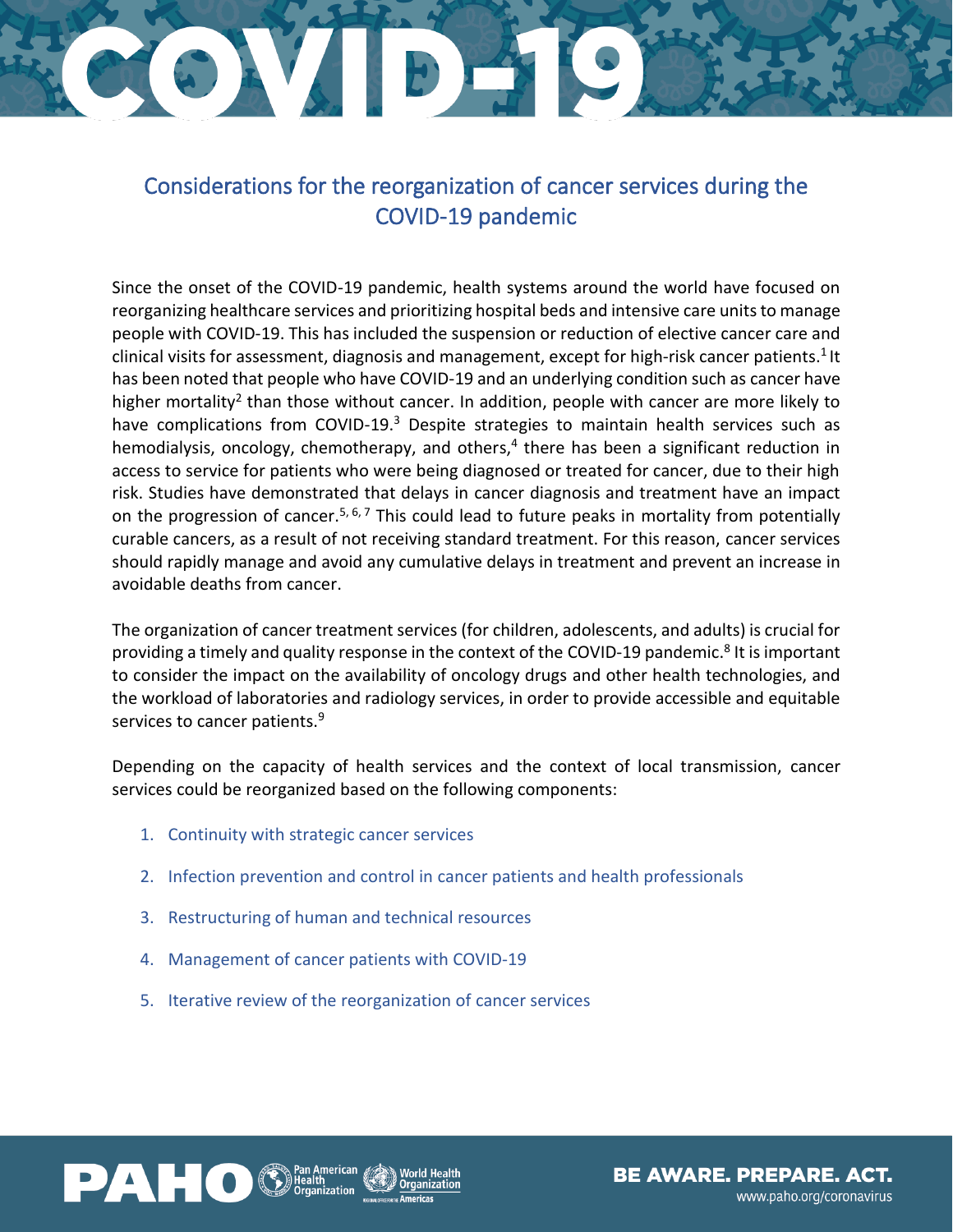# CONCRETE PARTS

### Considerations for the reorganization of cancer services during the COVID-19 pandemic

Since the onset of the COVID-19 pandemic, health systems around the world have focused on reorganizing healthcare services and prioritizing hospital beds and intensive care units to manage people with COVID-19. This has included the suspension or reduction of elective cancer care and clinical visits for assessment, diagnosis and management, except for high-risk cancer patients.<sup>1</sup> It has been noted that people who have COVID-19 and an underlying condition such as cancer have higher mortality<sup>2</sup> than those without cancer. In addition, people with cancer are more likely to have complications from COVID-19.<sup>3</sup> Despite strategies to maintain health services such as hemodialysis, oncology, chemotherapy, and others, 4 there has been a significant reduction in access to service for patients who were being diagnosed or treated for cancer, due to their high risk. Studies have demonstrated that delays in cancer diagnosis and treatment have an impact on the progression of cancer.<sup>5, 6, 7</sup> This could lead to future peaks in mortality from potentially curable cancers, as a result of not receiving standard treatment. For this reason, cancer services should rapidly manage and avoid any cumulative delays in treatment and prevent an increase in avoidable deaths from cancer.

The organization of cancer treatment services (for children, adolescents, and adults) is crucial for providing a timely and quality response in the context of the COVID-19 pandemic.<sup>8</sup> It is important to consider the impact on the availability of oncology drugs and other health technologies, and the workload of laboratories and radiology services, in order to provide accessible and equitable services to cancer patients.<sup>9</sup>

Depending on the capacity of health services and the context of local transmission, cancer services could be reorganized based on the following components:

- 1. Continuity with strategic cancer services
- 2. Infection prevention and control in cancer patients and health professionals
- 3. Restructuring of human and technical resources
- 4. Management of cancer patients with COVID-19
- 5. Iterative review of the reorganization of cancer services



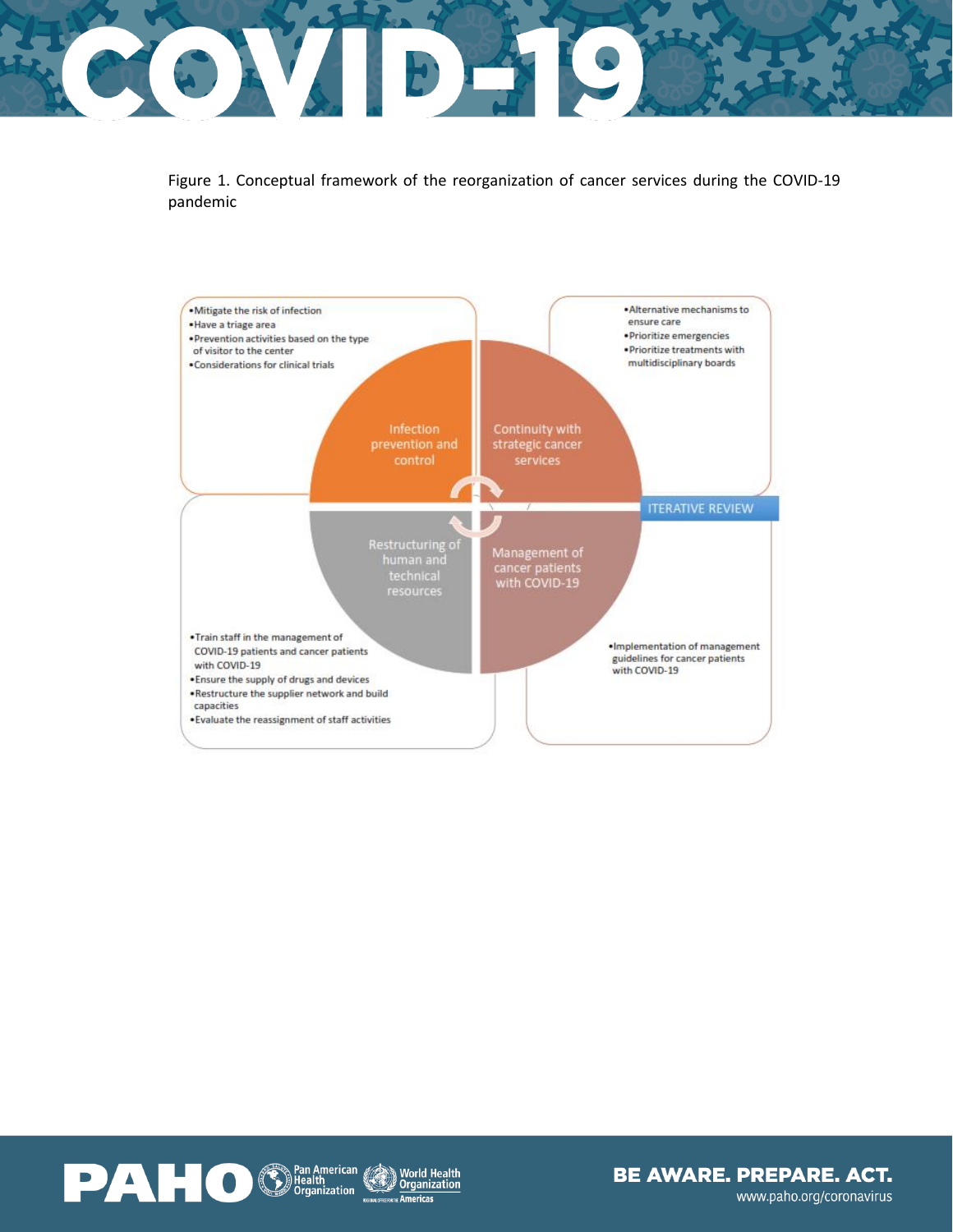### CONDA O

Figure 1. Conceptual framework of the reorganization of cancer services during the COVID-19 pandemic



World Health<br>Organization

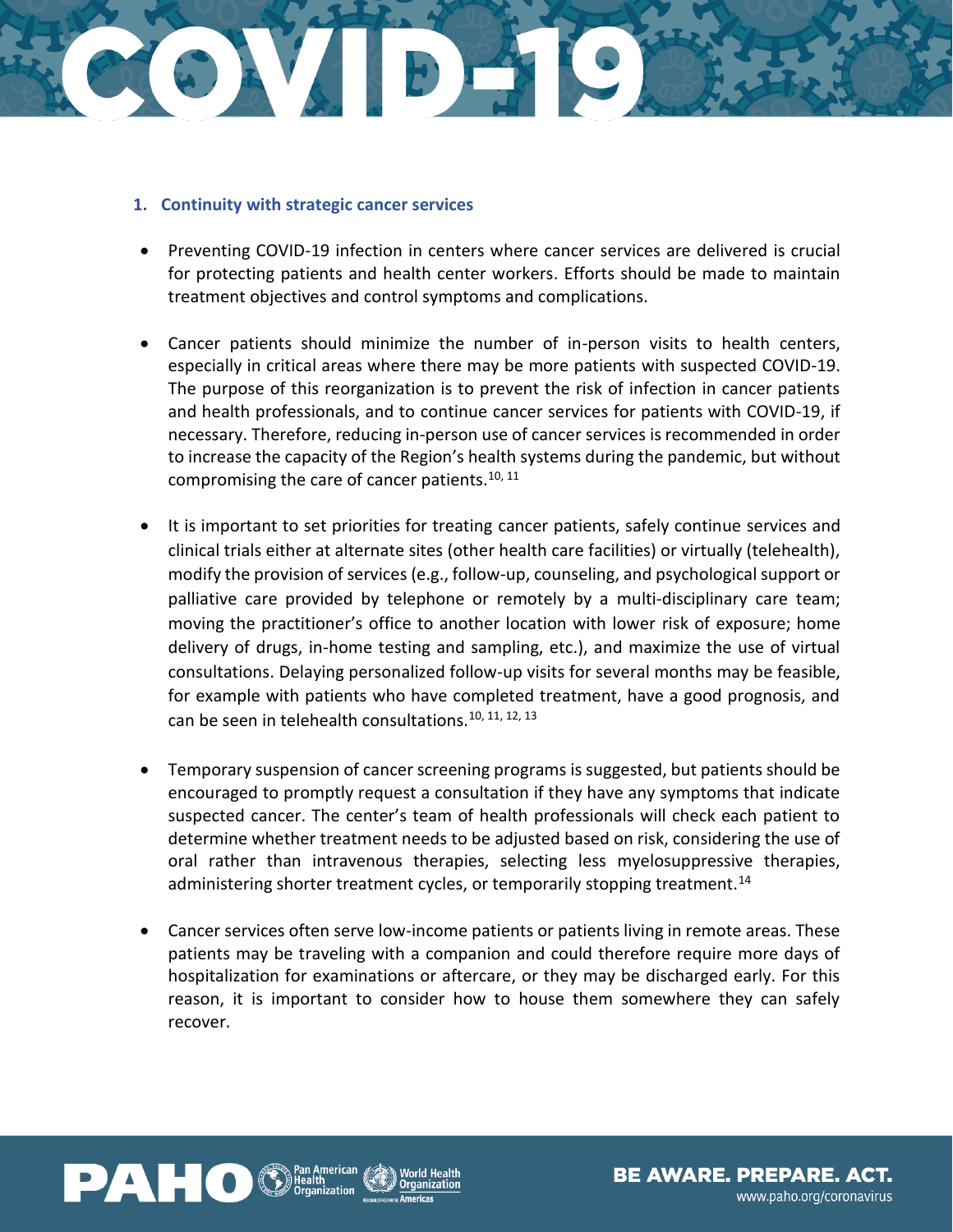## CCONCEPTO

#### **1. Continuity with strategic cancer services**

- Preventing COVID-19 infection in centers where cancer services are delivered is crucial for protecting patients and health center workers. Efforts should be made to maintain treatment objectives and control symptoms and complications.
- Cancer patients should minimize the number of in-person visits to health centers, especially in critical areas where there may be more patients with suspected COVID-19. The purpose of this reorganization is to prevent the risk of infection in cancer patients and health professionals, and to continue cancer services for patients with COVID-19, if necessary. Therefore, reducing in-person use of cancer services is recommended in order to increase the capacity of the Region's health systems during the pandemic, but without compromising the care of cancer patients.<sup>10, 11</sup>
- It is important to set priorities for treating cancer patients, safely continue services and clinical trials either at alternate sites (other health care facilities) or virtually (telehealth), modify the provision of services (e.g., follow-up, counseling, and psychological support or palliative care provided by telephone or remotely by a multi-disciplinary care team; moving the practitioner's office to another location with lower risk of exposure; home delivery of drugs, in-home testing and sampling, etc.), and maximize the use of virtual consultations. Delaying personalized follow-up visits for several months may be feasible, for example with patients who have completed treatment, have a good prognosis, and can be seen in telehealth consultations.<sup>10, 11, 12, 13</sup>
- Temporary suspension of cancer screening programs is suggested, but patients should be encouraged to promptly request a consultation if they have any symptoms that indicate suspected cancer. The center's team of health professionals will check each patient to determine whether treatment needs to be adjusted based on risk, considering the use of oral rather than intravenous therapies, selecting less myelosuppressive therapies, administering shorter treatment cycles, or temporarily stopping treatment.<sup>14</sup>
- Cancer services often serve low-income patients or patients living in remote areas. These patients may be traveling with a companion and could therefore require more days of hospitalization for examinations or aftercare, or they may be discharged early. For this reason, it is important to consider how to house them somewhere they can safely recover.



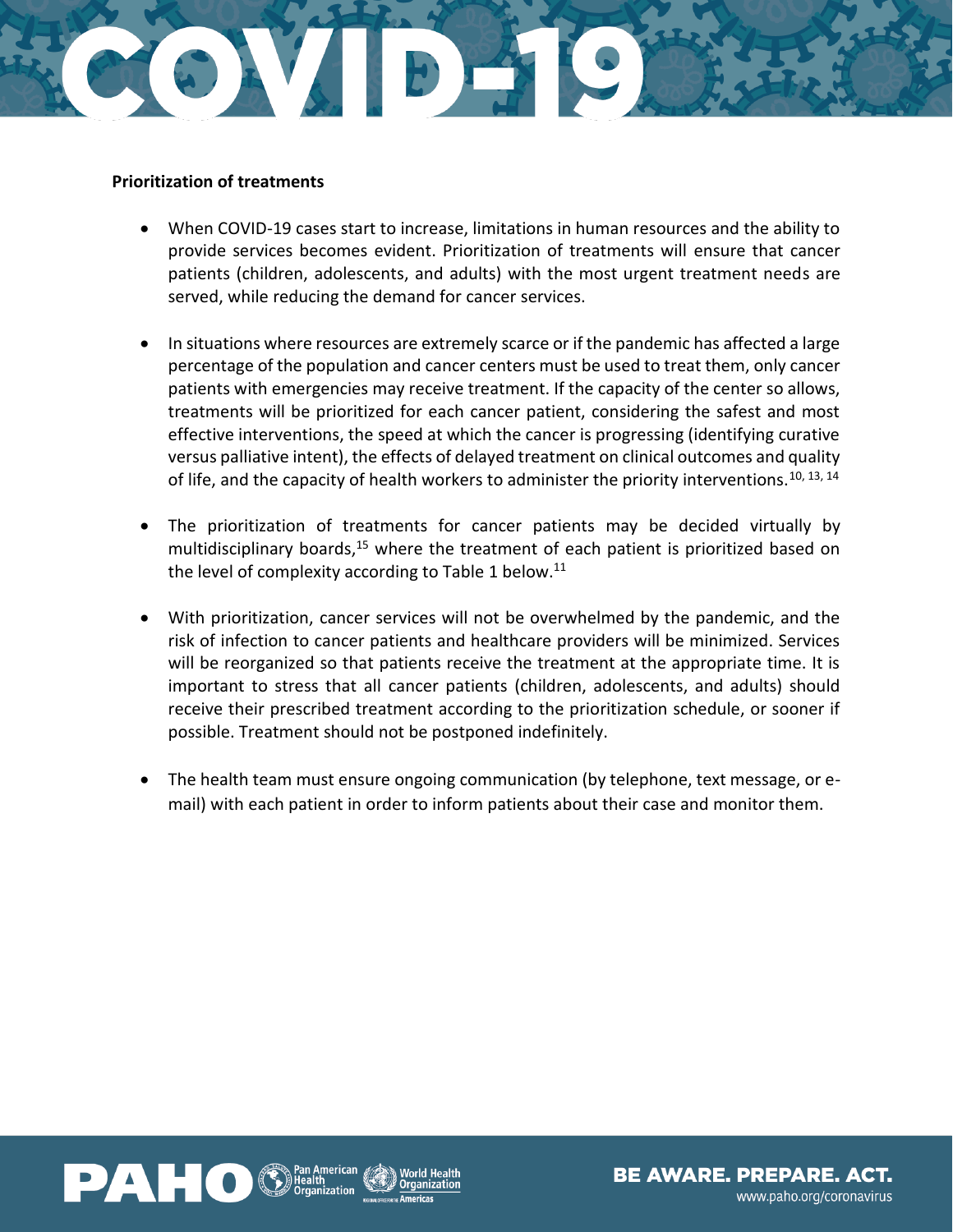

#### **Prioritization of treatments**

- When COVID-19 cases start to increase, limitations in human resources and the ability to provide services becomes evident. Prioritization of treatments will ensure that cancer patients (children, adolescents, and adults) with the most urgent treatment needs are served, while reducing the demand for cancer services.
- In situations where resources are extremely scarce or if the pandemic has affected a large percentage of the population and cancer centers must be used to treat them, only cancer patients with emergencies may receive treatment. If the capacity of the center so allows, treatments will be prioritized for each cancer patient, considering the safest and most effective interventions, the speed at which the cancer is progressing (identifying curative versus palliative intent), the effects of delayed treatment on clinical outcomes and quality of life, and the capacity of health workers to administer the priority interventions.<sup>10, 13, 14</sup>
- The prioritization of treatments for cancer patients may be decided virtually by multidisciplinary boards,<sup>15</sup> where the treatment of each patient is prioritized based on the level of complexity according to Table 1 below.<sup>11</sup>
- With prioritization, cancer services will not be overwhelmed by the pandemic, and the risk of infection to cancer patients and healthcare providers will be minimized. Services will be reorganized so that patients receive the treatment at the appropriate time. It is important to stress that all cancer patients (children, adolescents, and adults) should receive their prescribed treatment according to the prioritization schedule, or sooner if possible. Treatment should not be postponed indefinitely.
- The health team must ensure ongoing communication (by telephone, text message, or email) with each patient in order to inform patients about their case and monitor them.

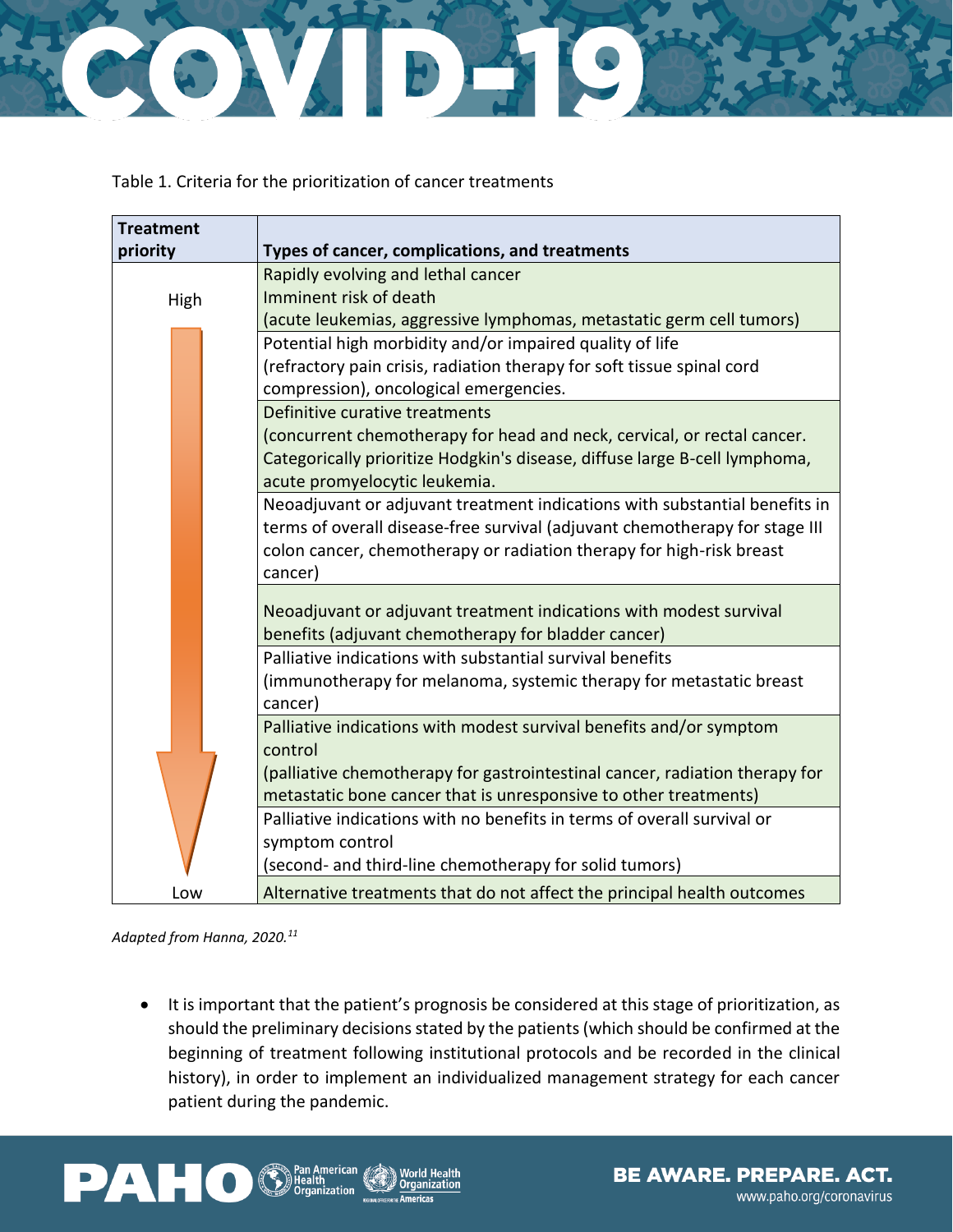

Table 1. Criteria for the prioritization of cancer treatments

| <b>Treatment</b> |                                                                             |
|------------------|-----------------------------------------------------------------------------|
| priority         | Types of cancer, complications, and treatments                              |
|                  | Rapidly evolving and lethal cancer                                          |
| High             | Imminent risk of death                                                      |
|                  | (acute leukemias, aggressive lymphomas, metastatic germ cell tumors)        |
|                  | Potential high morbidity and/or impaired quality of life                    |
|                  | (refractory pain crisis, radiation therapy for soft tissue spinal cord      |
|                  | compression), oncological emergencies.                                      |
|                  | Definitive curative treatments                                              |
|                  | (concurrent chemotherapy for head and neck, cervical, or rectal cancer.     |
|                  | Categorically prioritize Hodgkin's disease, diffuse large B-cell lymphoma,  |
|                  | acute promyelocytic leukemia.                                               |
|                  | Neoadjuvant or adjuvant treatment indications with substantial benefits in  |
|                  | terms of overall disease-free survival (adjuvant chemotherapy for stage III |
|                  | colon cancer, chemotherapy or radiation therapy for high-risk breast        |
|                  | cancer)                                                                     |
|                  | Neoadjuvant or adjuvant treatment indications with modest survival          |
|                  | benefits (adjuvant chemotherapy for bladder cancer)                         |
|                  | Palliative indications with substantial survival benefits                   |
|                  | (immunotherapy for melanoma, systemic therapy for metastatic breast         |
|                  | cancer)                                                                     |
|                  | Palliative indications with modest survival benefits and/or symptom         |
|                  | control                                                                     |
|                  | (palliative chemotherapy for gastrointestinal cancer, radiation therapy for |
|                  | metastatic bone cancer that is unresponsive to other treatments)            |
|                  | Palliative indications with no benefits in terms of overall survival or     |
|                  | symptom control                                                             |
|                  | (second- and third-line chemotherapy for solid tumors)                      |
| Low              | Alternative treatments that do not affect the principal health outcomes     |

*Adapted from Hanna, 2020.<sup>11</sup>*

• It is important that the patient's prognosis be considered at this stage of prioritization, as should the preliminary decisions stated by the patients (which should be confirmed at the beginning of treatment following institutional protocols and be recorded in the clinical history), in order to implement an individualized management strategy for each cancer patient during the pandemic.

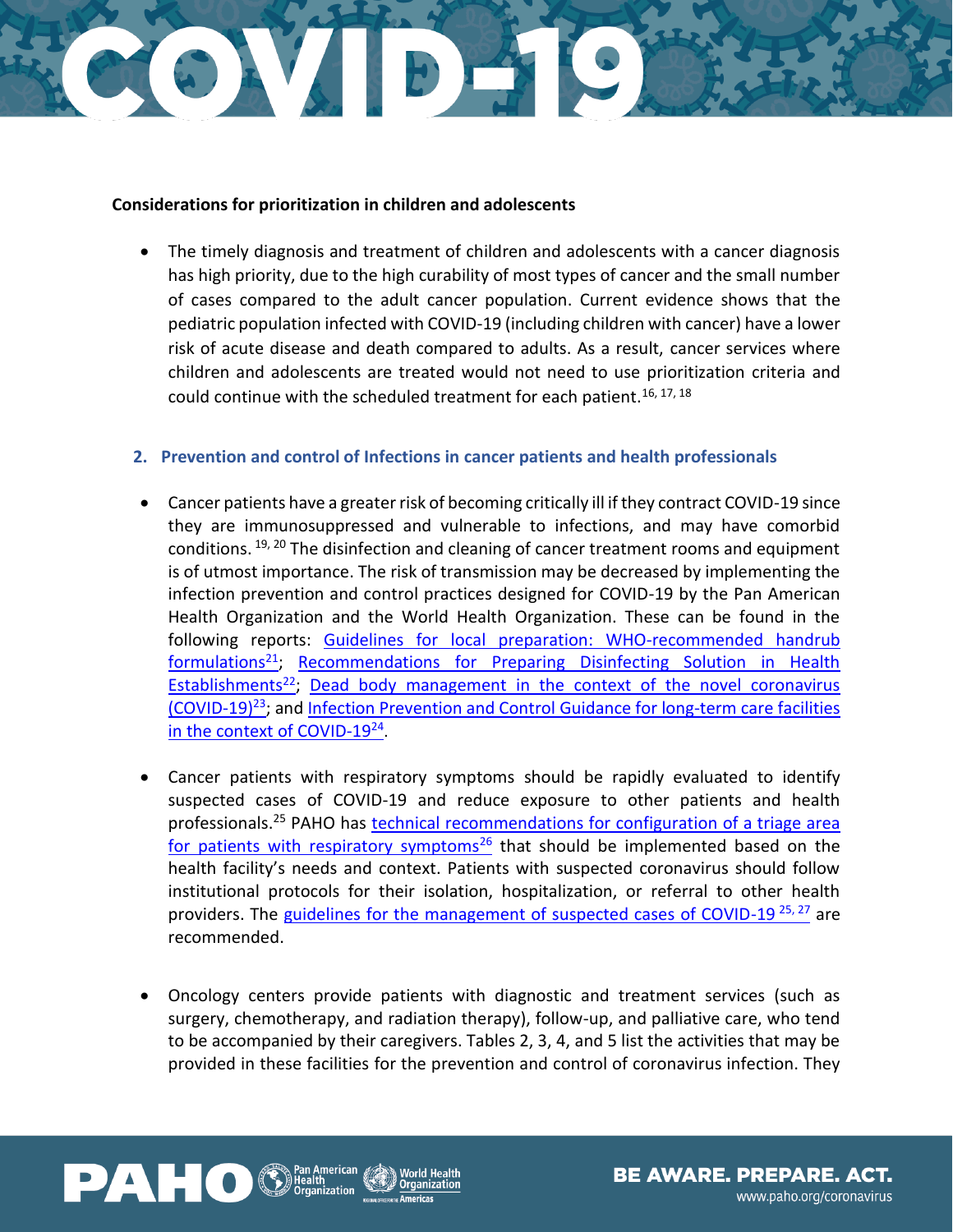### CONTER SO

#### **Considerations for prioritization in children and adolescents**

• The timely diagnosis and treatment of children and adolescents with a cancer diagnosis has high priority, due to the high curability of most types of cancer and the small number of cases compared to the adult cancer population. Current evidence shows that the pediatric population infected with COVID-19 (including children with cancer) have a lower risk of acute disease and death compared to adults. As a result, cancer services where children and adolescents are treated would not need to use prioritization criteria and could continue with the scheduled treatment for each patient.<sup>16, 17, 18</sup>

#### **2. Prevention and control of Infections in cancer patients and health professionals**

- Cancer patients have a greater risk of becoming critically ill if they contract COVID-19 since they are immunosuppressed and vulnerable to infections, and may have comorbid conditions. <sup>19, 20</sup> The disinfection and cleaning of cancer treatment rooms and equipment is of utmost importance. The risk of transmission may be decreased by implementing the infection prevention and control practices designed for COVID-19 by the Pan American Health Organization and the World Health Organization. These can be found in the following reports: Guidelines for local preparation: WHO-recommended handrub [formulations](https://www.paho.org/en/documents/guia-para-elaboracion-nivel-local-formulaciones-recomendadas-por-oms-para-desinfeccion)<sup>21</sup>; Recommendations for Preparing Disinfecting Solution in Health [Establishments](https://www.paho.org/en/documents/recommendations-preparing-disinfecting-solution-health-establishment)<sup>22</sup>; Dead body management in the context of the novel coronavirus [\(COVID-19\)](https://www.paho.org/es/documentos/manejo-cadaveres-contexto-nuevo-coronavirus-covid-19)<sup>23</sup>; an[d Infection Prevention and Control Guidance for long-term care facilities](https://apps.who.int/iris/handle/10665/331508)  [in the context of COVID-19](https://apps.who.int/iris/handle/10665/331508)<sup>24</sup>.
- Cancer patients with respiratory symptoms should be rapidly evaluated to identify suspected cases of COVID-19 and reduce exposure to other patients and health professionals.<sup>25</sup> PAHO has [technical recommendations for configuration of a triage area](https://www.https/www.paho.org/en/documents/technical-recommendations-configuration-triage-area-patients-respiratory-symptoms)  [for patients with respiratory symptoms](https://www.https/www.paho.org/en/documents/technical-recommendations-configuration-triage-area-patients-respiratory-symptoms)<sup>26</sup> that should be implemented based on the health facility's needs and context. Patients with suspected coronavirus should follow institutional protocols for their isolation, hospitalization, or referral to other health providers. The [guidelines for the management of suspected cases of COVID-19](https://www.who.int/publications-detail/infection-prevention-and-control-during-health-care-when-novel-coronavirus-(ncov)-infection-is-suspected-20200125)<sup>25, 27</sup> are recommended.
- Oncology centers provide patients with diagnostic and treatment services (such as surgery, chemotherapy, and radiation therapy), follow-up, and palliative care, who tend to be accompanied by their caregivers. Tables 2, 3, 4, and 5 list the activities that may be provided in these facilities for the prevention and control of coronavirus infection. They



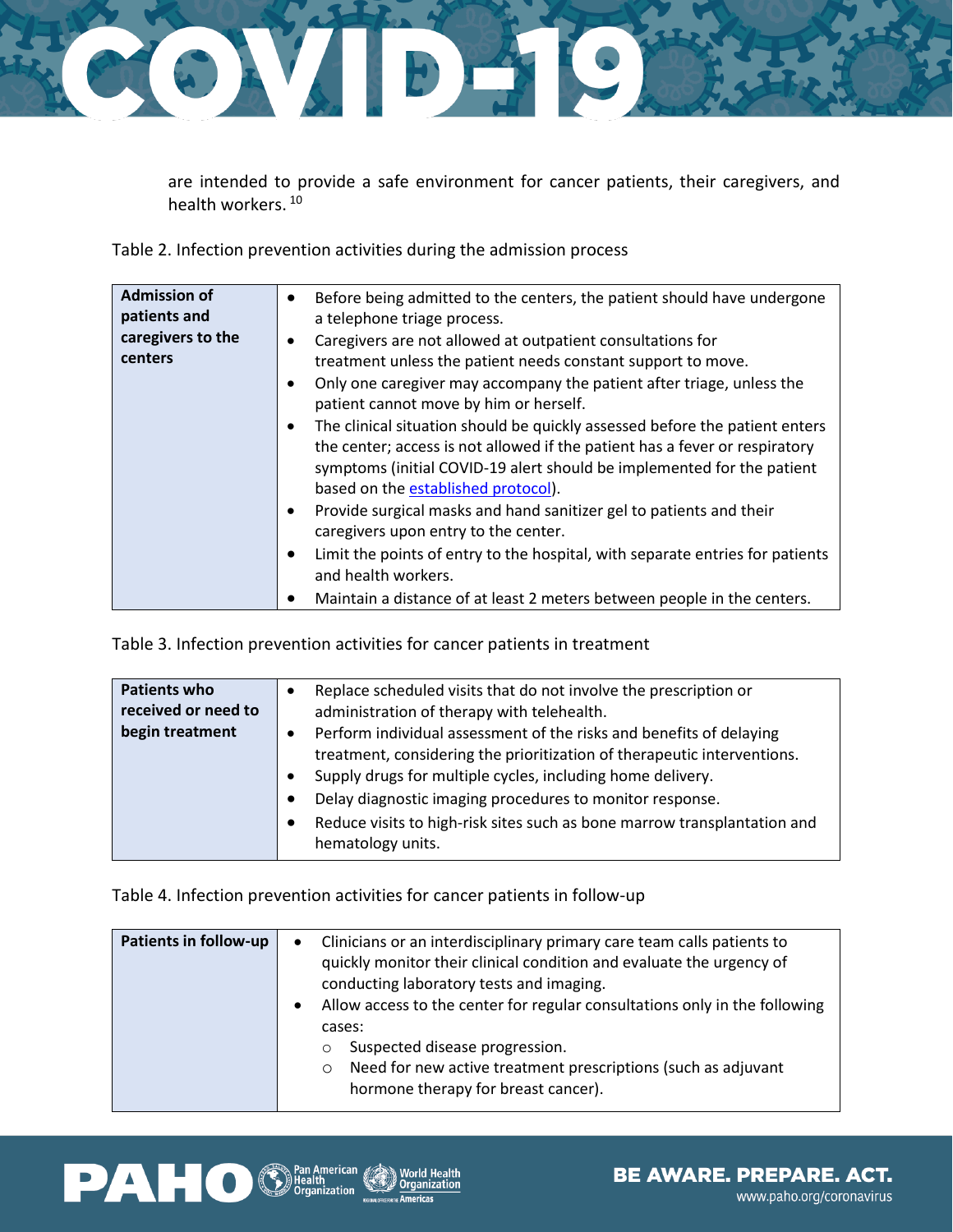

are intended to provide a safe environment for cancer patients, their caregivers, and health workers.<sup>10</sup>

Table 2. Infection prevention activities during the admission process

| <b>Admission of</b><br>patients and | Before being admitted to the centers, the patient should have undergone<br>a telephone triage process.                                                                                                                                                                                   |
|-------------------------------------|------------------------------------------------------------------------------------------------------------------------------------------------------------------------------------------------------------------------------------------------------------------------------------------|
| caregivers to the                   | Caregivers are not allowed at outpatient consultations for<br>٠                                                                                                                                                                                                                          |
| centers                             | treatment unless the patient needs constant support to move.                                                                                                                                                                                                                             |
|                                     | Only one caregiver may accompany the patient after triage, unless the<br>$\bullet$<br>patient cannot move by him or herself.                                                                                                                                                             |
|                                     | The clinical situation should be quickly assessed before the patient enters<br>$\bullet$<br>the center; access is not allowed if the patient has a fever or respiratory<br>symptoms (initial COVID-19 alert should be implemented for the patient<br>based on the established protocol). |
|                                     | Provide surgical masks and hand sanitizer gel to patients and their<br>$\bullet$<br>caregivers upon entry to the center.                                                                                                                                                                 |
|                                     | Limit the points of entry to the hospital, with separate entries for patients<br>$\bullet$<br>and health workers.                                                                                                                                                                        |
|                                     | Maintain a distance of at least 2 meters between people in the centers.                                                                                                                                                                                                                  |

Table 3. Infection prevention activities for cancer patients in treatment

| <b>Patients who</b><br>Replace scheduled visits that do not involve the prescription or<br>received or need to<br>administration of therapy with telehealth.<br>begin treatment<br>Perform individual assessment of the risks and benefits of delaying<br>$\bullet$<br>treatment, considering the prioritization of therapeutic interventions.<br>Supply drugs for multiple cycles, including home delivery.<br>$\bullet$<br>Delay diagnostic imaging procedures to monitor response.<br>$\bullet$<br>Reduce visits to high-risk sites such as bone marrow transplantation and<br>$\bullet$<br>hematology units. |  |
|------------------------------------------------------------------------------------------------------------------------------------------------------------------------------------------------------------------------------------------------------------------------------------------------------------------------------------------------------------------------------------------------------------------------------------------------------------------------------------------------------------------------------------------------------------------------------------------------------------------|--|
|------------------------------------------------------------------------------------------------------------------------------------------------------------------------------------------------------------------------------------------------------------------------------------------------------------------------------------------------------------------------------------------------------------------------------------------------------------------------------------------------------------------------------------------------------------------------------------------------------------------|--|

Table 4. Infection prevention activities for cancer patients in follow-up

| <b>Patients in follow-up</b> | Clinicians or an interdisciplinary primary care team calls patients to<br>$\bullet$<br>quickly monitor their clinical condition and evaluate the urgency of<br>conducting laboratory tests and imaging.<br>Allow access to the center for regular consultations only in the following<br>$\bullet$<br>cases:<br>Suspected disease progression.<br>$\circ$<br>Need for new active treatment prescriptions (such as adjuvant<br>$\circ$<br>hormone therapy for breast cancer). |
|------------------------------|------------------------------------------------------------------------------------------------------------------------------------------------------------------------------------------------------------------------------------------------------------------------------------------------------------------------------------------------------------------------------------------------------------------------------------------------------------------------------|
|------------------------------|------------------------------------------------------------------------------------------------------------------------------------------------------------------------------------------------------------------------------------------------------------------------------------------------------------------------------------------------------------------------------------------------------------------------------------------------------------------------------|



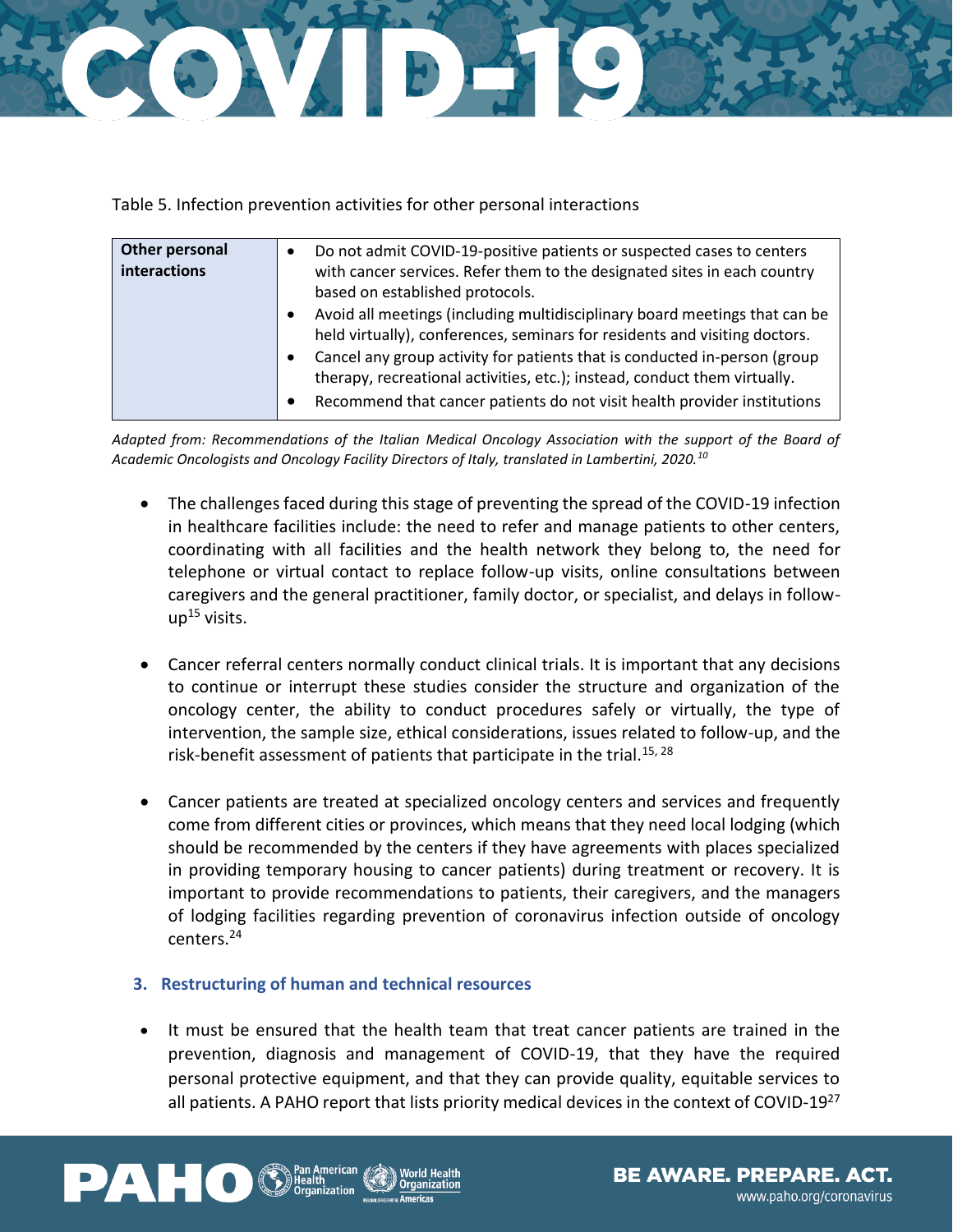

Table 5. Infection prevention activities for other personal interactions

| Other personal<br>interactions | Do not admit COVID-19-positive patients or suspected cases to centers<br>with cancer services. Refer them to the designated sites in each country<br>based on established protocols.<br>Avoid all meetings (including multidisciplinary board meetings that can be<br>$\bullet$<br>held virtually), conferences, seminars for residents and visiting doctors.<br>Cancel any group activity for patients that is conducted in-person (group<br>$\bullet$ |
|--------------------------------|---------------------------------------------------------------------------------------------------------------------------------------------------------------------------------------------------------------------------------------------------------------------------------------------------------------------------------------------------------------------------------------------------------------------------------------------------------|
|                                | therapy, recreational activities, etc.); instead, conduct them virtually.<br>Recommend that cancer patients do not visit health provider institutions<br>$\bullet$                                                                                                                                                                                                                                                                                      |

*Adapted from: Recommendations of the Italian Medical Oncology Association with the support of the Board of Academic Oncologists and Oncology Facility Directors of Italy, translated in Lambertini, 2020.<sup>10</sup>*

- The challenges faced during this stage of preventing the spread of the COVID-19 infection in healthcare facilities include: the need to refer and manage patients to other centers, coordinating with all facilities and the health network they belong to, the need for telephone or virtual contact to replace follow-up visits, online consultations between caregivers and the general practitioner, family doctor, or specialist, and delays in follow $up^{15}$  visits.
- Cancer referral centers normally conduct clinical trials. It is important that any decisions to continue or interrupt these studies consider the structure and organization of the oncology center, the ability to conduct procedures safely or virtually, the type of intervention, the sample size, ethical considerations, issues related to follow-up, and the risk-benefit assessment of patients that participate in the trial.<sup>15, 28</sup>
- Cancer patients are treated at specialized oncology centers and services and frequently come from different cities or provinces, which means that they need local lodging (which should be recommended by the centers if they have agreements with places specialized in providing temporary housing to cancer patients) during treatment or recovery. It is important to provide recommendations to patients, their caregivers, and the managers of lodging facilities regarding prevention of coronavirus infection outside of oncology centers.<sup>24</sup>

#### **3. Restructuring of human and technical resources**

It must be ensured that the health team that treat cancer patients are trained in the prevention, diagnosis and management of COVID-19, that they have the required personal protective equipment, and that they can provide quality, equitable services to all patients. A PAHO report that lists priority medical devices in the context of COVID-19<sup>27</sup>

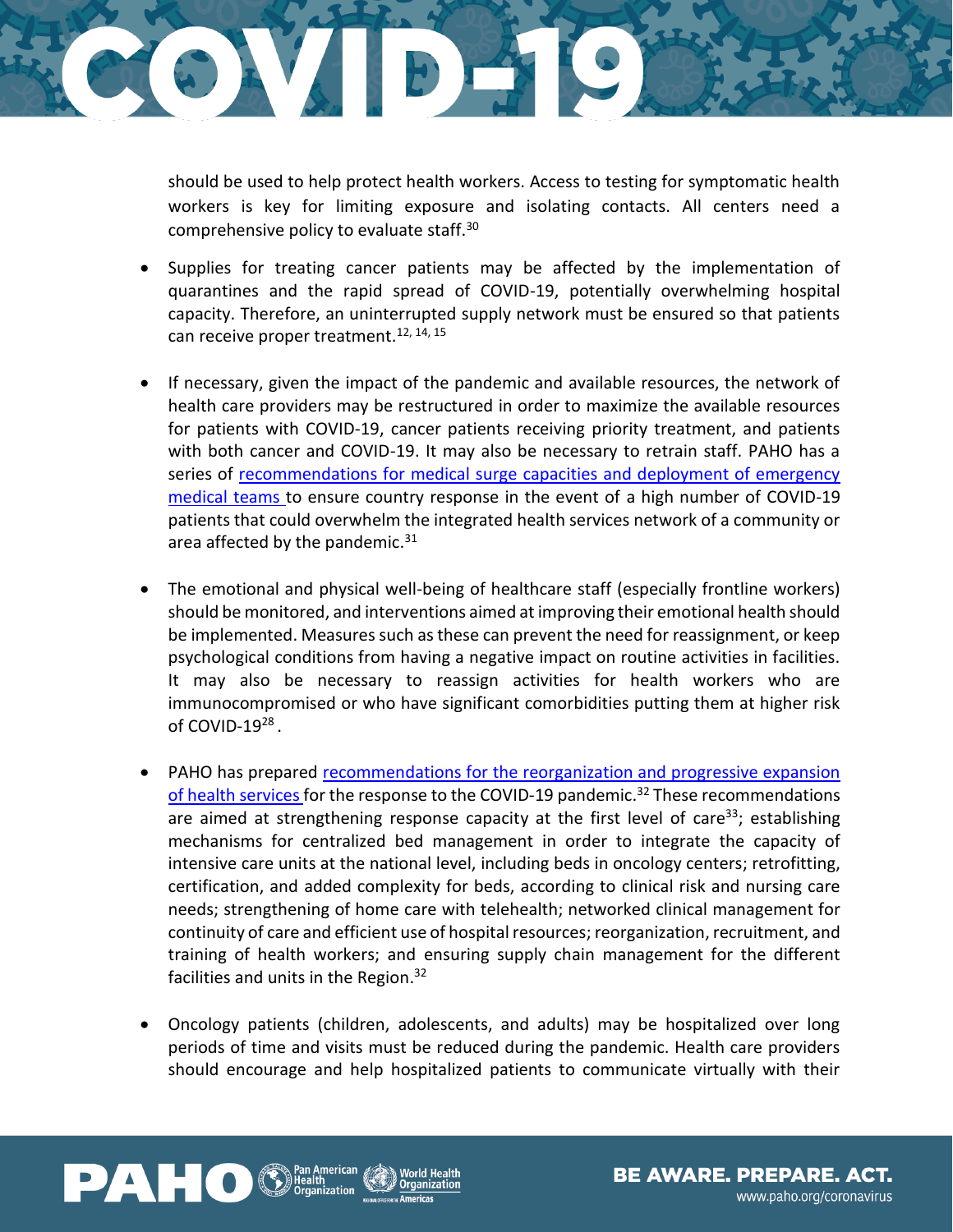

should be used to help protect health workers. Access to testing for symptomatic health workers is key for limiting exposure and isolating contacts. All centers need a comprehensive policy to evaluate staff.<sup>30</sup>

- Supplies for treating cancer patients may be affected by the implementation of quarantines and the rapid spread of COVID-19, potentially overwhelming hospital capacity. Therefore, an uninterrupted supply network must be ensured so that patients can receive proper treatment.<sup>12, 14, 15</sup>
- If necessary, given the impact of the pandemic and available resources, the network of health care providers may be restructured in order to maximize the available resources for patients with COVID-19, cancer patients receiving priority treatment, and patients with both cancer and COVID-19. It may also be necessary to retrain staff. PAHO has a series of [recommendations for medical surge capacities and deployment of emergency](https://www.paho.org/en/documents/recommendations-medical-surge-capacity-and-deployment-emergency-medical-teams)  [medical teams](https://www.paho.org/en/documents/recommendations-medical-surge-capacity-and-deployment-emergency-medical-teams) to ensure country response in the event of a high number of COVID-19 patients that could overwhelm the integrated health services network of a community or area affected by the pandemic. $31$
- The emotional and physical well-being of healthcare staff (especially frontline workers) should be monitored, and interventions aimed at improving their emotional health should be implemented. Measures such as these can prevent the need for reassignment, or keep psychological conditions from having a negative impact on routine activities in facilities. It may also be necessary to reassign activities for health workers who are immunocompromised or who have significant comorbidities putting them at higher risk of COVID-19 $^{28}$ .
- PAHO has prepared recommendations [for the reorganization and progressive expansion](https://www.paho.org/en/documents/reorganization-and-progressive-expansion-health-services-response-covid-19-pandemic)  [of health services](https://www.paho.org/en/documents/reorganization-and-progressive-expansion-health-services-response-covid-19-pandemic) for the response to the COVID-19 pandemic.<sup>32</sup> These recommendations are aimed at strengthening response capacity at the first level of care<sup>33</sup>; establishing mechanisms for centralized bed management in order to integrate the capacity of intensive care units at the national level, including beds in oncology centers; retrofitting, certification, and added complexity for beds, according to clinical risk and nursing care needs; strengthening of home care with telehealth; networked clinical management for continuity of care and efficient use of hospital resources; reorganization, recruitment, and training of health workers; and ensuring supply chain management for the different facilities and units in the Region.<sup>32</sup>
- Oncology patients (children, adolescents, and adults) may be hospitalized over long periods of time and visits must be reduced during the pandemic. Health care providers should encourage and help hospitalized patients to communicate virtually with their



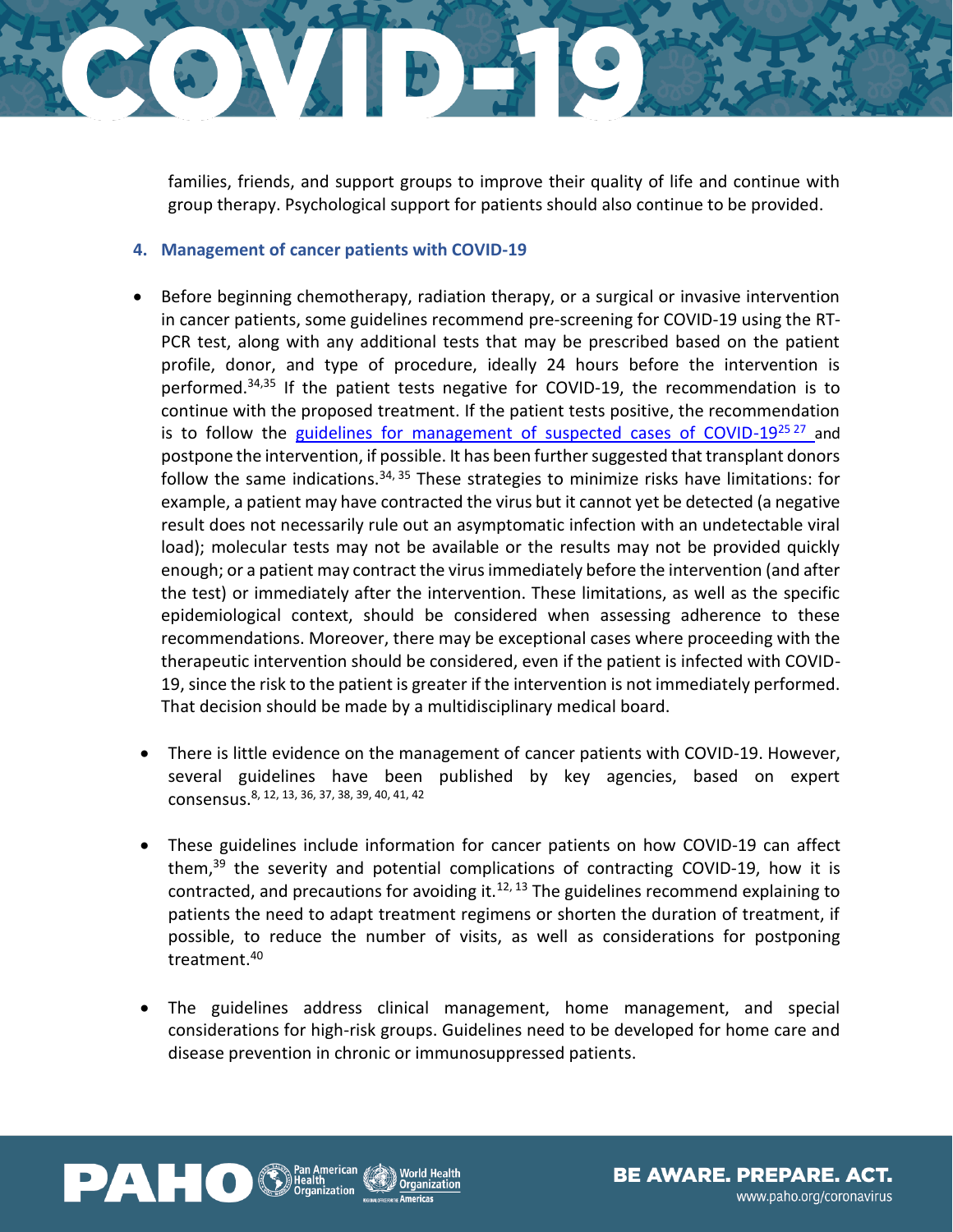

families, friends, and support groups to improve their quality of life and continue with group therapy. Psychological support for patients should also continue to be provided.

#### **4. Management of cancer patients with COVID-19**

- Before beginning chemotherapy, radiation therapy, or a surgical or invasive intervention in cancer patients, some guidelines recommend pre-screening for COVID-19 using the RT-PCR test, along with any additional tests that may be prescribed based on the patient profile, donor, and type of procedure, ideally 24 hours before the intervention is performed.<sup>34,35</sup> If the patient tests negative for COVID-19, the recommendation is to continue with the proposed treatment. If the patient tests positive, the recommendation is to follow the [guidelines for management of suspected cases of COVID-19](https://www.who.int/publications-detail/infection-prevention-and-control-during-health-care-when-novel-coronavirus-(ncov)-infection-is-suspected-20200125) $^{25\,27}$  and postpone the intervention, if possible. It has been further suggested that transplant donors follow the same indications.<sup>34, 35</sup> These strategies to minimize risks have limitations: for example, a patient may have contracted the virus but it cannot yet be detected (a negative result does not necessarily rule out an asymptomatic infection with an undetectable viral load); molecular tests may not be available or the results may not be provided quickly enough; or a patient may contract the virus immediately before the intervention (and after the test) or immediately after the intervention. These limitations, as well as the specific epidemiological context, should be considered when assessing adherence to these recommendations. Moreover, there may be exceptional cases where proceeding with the therapeutic intervention should be considered, even if the patient is infected with COVID-19, since the risk to the patient is greater if the intervention is not immediately performed. That decision should be made by a multidisciplinary medical board.
- There is little evidence on the management of cancer patients with COVID-19. However, several guidelines have been published by key agencies, based on expert consensus.8, 12, 13, 36, 37, 38, 39, 40, 41, <sup>42</sup>
- These guidelines include information for cancer patients on how COVID-19 can affect them, $39$  the severity and potential complications of contracting COVID-19, how it is contracted, and precautions for avoiding it.<sup>12, 13</sup> The guidelines recommend explaining to patients the need to adapt treatment regimens or shorten the duration of treatment, if possible, to reduce the number of visits, as well as considerations for postponing treatment.<sup>40</sup>
- The guidelines address clinical management, home management, and special considerations for high-risk groups. Guidelines need to be developed for home care and disease prevention in chronic or immunosuppressed patients.



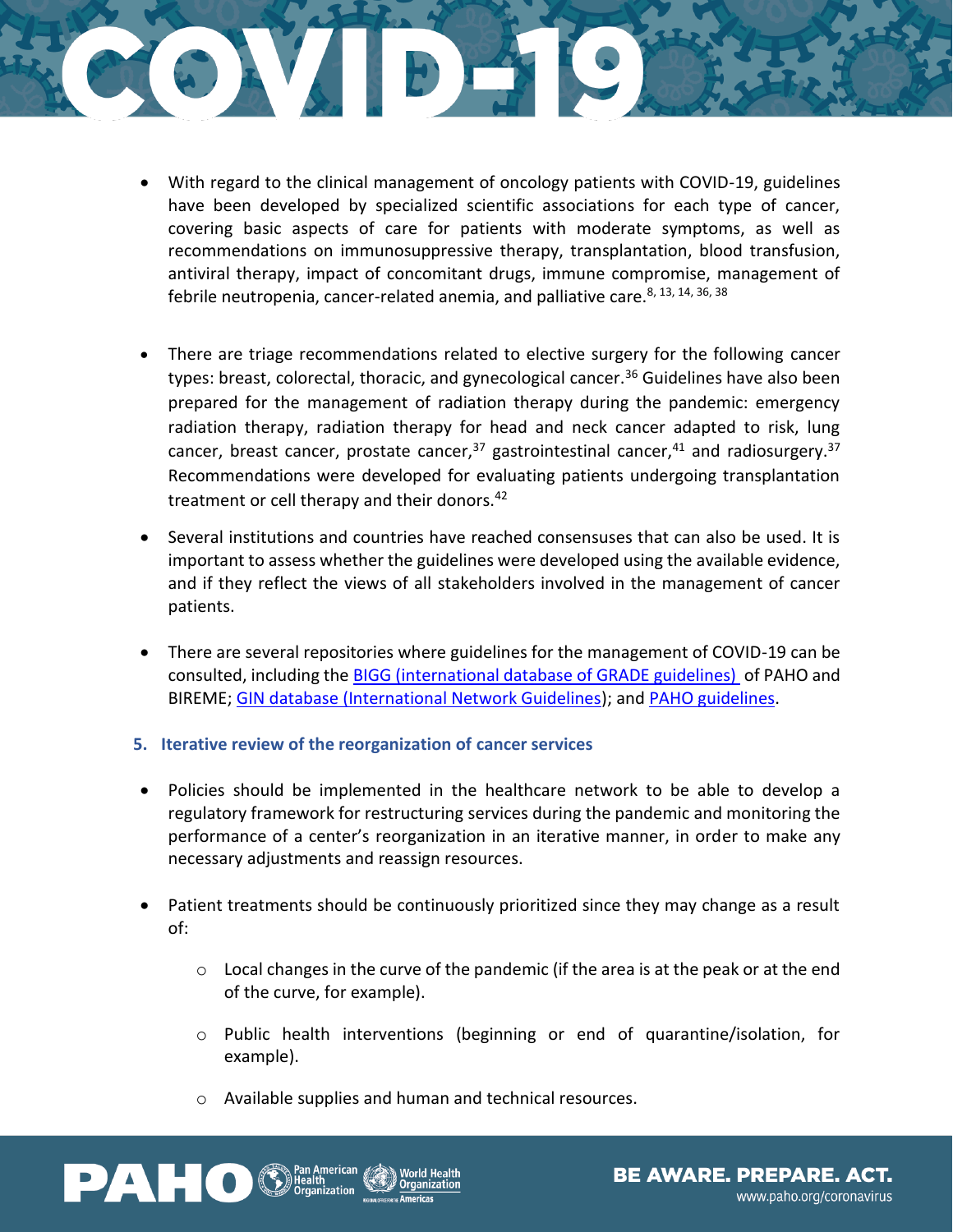

- With regard to the clinical management of oncology patients with COVID-19, guidelines have been developed by specialized scientific associations for each type of cancer, covering basic aspects of care for patients with moderate symptoms, as well as recommendations on immunosuppressive therapy, transplantation, blood transfusion, antiviral therapy, impact of concomitant drugs, immune compromise, management of febrile neutropenia, cancer-related anemia, and palliative care.<sup>8, 13, 14, 36, 38</sup>
- There are triage recommendations related to elective surgery for the following cancer types: breast, colorectal, thoracic, and gynecological cancer.<sup>36</sup> Guidelines have also been prepared for the management of radiation therapy during the pandemic: emergency radiation therapy, radiation therapy for head and neck cancer adapted to risk, lung cancer, breast cancer, prostate cancer,  $37$  gastrointestinal cancer,  $41$  and radiosurgery.  $37$ Recommendations were developed for evaluating patients undergoing transplantation treatment or cell therapy and their donors.<sup>42</sup>
- Several institutions and countries have reached consensuses that can also be used. It is important to assess whether the guidelines were developed using the available evidence, and if they reflect the views of all stakeholders involved in the management of cancer patients.
- There are several repositories where guidelines for the management of COVID-19 can be consulted, including the [BIGG \(international database of GRADE guidelines\)](https://sites.bvsalud.org/bigg/biblio/) of PAHO and BIREME; [GIN database \(International Network Guidelines\)](https://g-i-n.net/covid-19/covid-19); and [PAHO guidelines.](https://www.paho.org/en/documents)
- **5. Iterative review of the reorganization of cancer services**
- Policies should be implemented in the healthcare network to be able to develop a regulatory framework for restructuring services during the pandemic and monitoring the performance of a center's reorganization in an iterative manner, in order to make any necessary adjustments and reassign resources.
- Patient treatments should be continuously prioritized since they may change as a result of:
	- o Local changes in the curve of the pandemic (if the area is at the peak or at the end of the curve, for example).
	- o Public health interventions (beginning or end of quarantine/isolation, for example).
	- o Available supplies and human and technical resources.



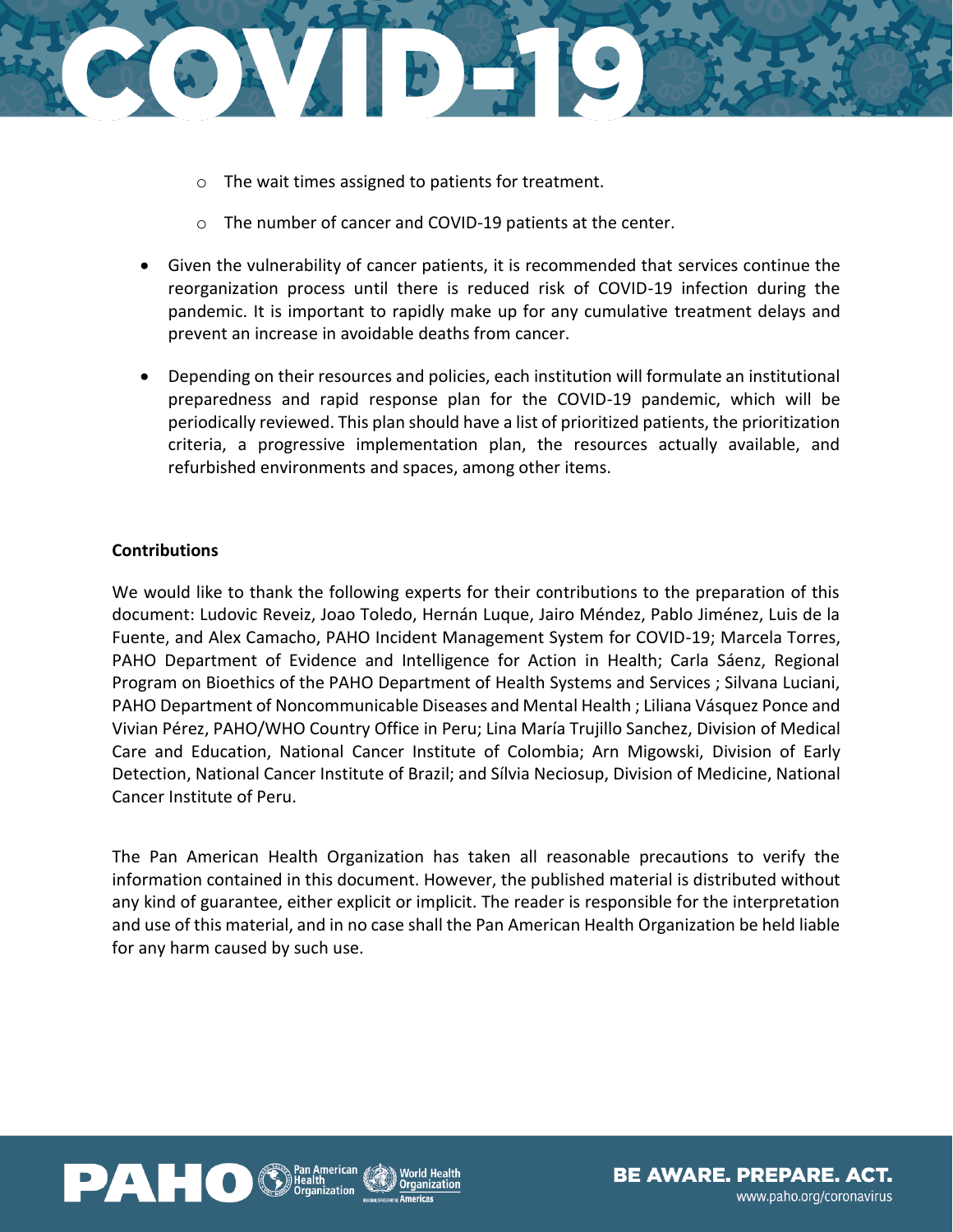

- o The wait times assigned to patients for treatment.
- o The number of cancer and COVID-19 patients at the center.
- Given the vulnerability of cancer patients, it is recommended that services continue the reorganization process until there is reduced risk of COVID-19 infection during the pandemic. It is important to rapidly make up for any cumulative treatment delays and prevent an increase in avoidable deaths from cancer.
- Depending on their resources and policies, each institution will formulate an institutional preparedness and rapid response plan for the COVID-19 pandemic, which will be periodically reviewed. This plan should have a list of prioritized patients, the prioritization criteria, a progressive implementation plan, the resources actually available, and refurbished environments and spaces, among other items.

#### **Contributions**

We would like to thank the following experts for their contributions to the preparation of this document: Ludovic Reveiz, Joao Toledo, Hernán Luque, Jairo Méndez, Pablo Jiménez, Luis de la Fuente, and Alex Camacho, PAHO Incident Management System for COVID-19; Marcela Torres, PAHO Department of Evidence and Intelligence for Action in Health; Carla Sáenz, Regional Program on Bioethics of the PAHO Department of Health Systems and Services ; Silvana Luciani, PAHO Department of Noncommunicable Diseases and Mental Health ; Liliana Vásquez Ponce and Vivian Pérez, PAHO/WHO Country Office in Peru; Lina María Trujillo Sanchez, Division of Medical Care and Education, National Cancer Institute of Colombia; Arn Migowski, Division of Early Detection, National Cancer Institute of Brazil; and Sílvia Neciosup, Division of Medicine, National Cancer Institute of Peru.

The Pan American Health Organization has taken all reasonable precautions to verify the information contained in this document. However, the published material is distributed without any kind of guarantee, either explicit or implicit. The reader is responsible for the interpretation and use of this material, and in no case shall the Pan American Health Organization be held liable for any harm caused by such use.



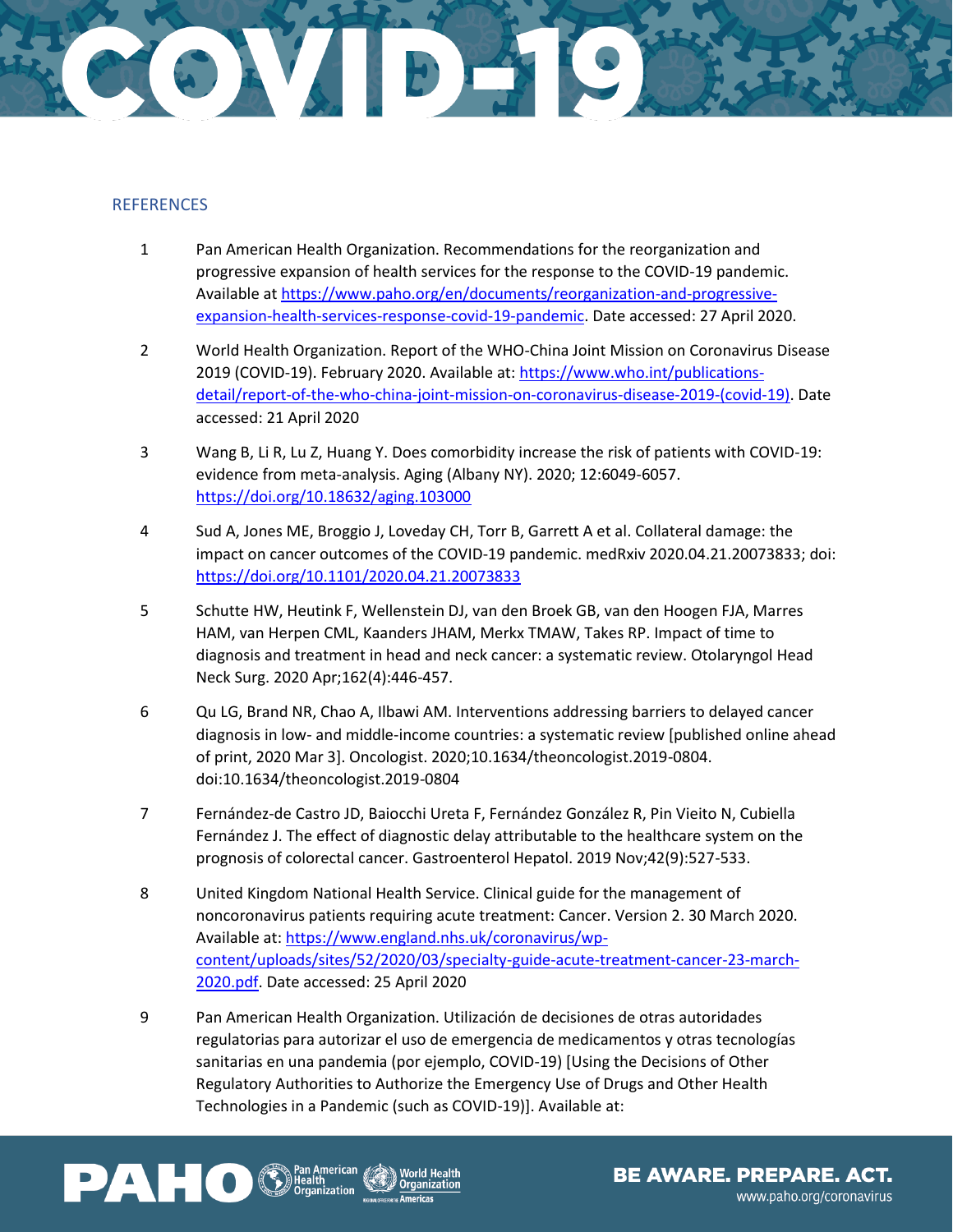

#### **REFERENCES**

- 1 Pan American Health Organization. Recommendations for the reorganization and progressive expansion of health services for the response to the COVID-19 pandemic. Available a[t https://www.paho.org/en/documents/reorganization-and-progressive](https://www.paho.org/en/documents/reorganization-and-progressive-expansion-health-services-response-covid-19-pandemic)[expansion-health-services-response-covid-19-pandemic.](https://www.paho.org/en/documents/reorganization-and-progressive-expansion-health-services-response-covid-19-pandemic) Date accessed: 27 April 2020.
- 2 World Health Organization. Report of the WHO-China Joint Mission on Coronavirus Disease 2019 (COVID-19). February 2020. Available at: [https://www.who.int/publications](https://www.who.int/publications-detail/report-of-the-who-china-joint-mission-on-coronavirus-disease-2019-(covid-19))[detail/report-of-the-who-china-joint-mission-on-coronavirus-disease-2019-\(covid-19\).](https://www.who.int/publications-detail/report-of-the-who-china-joint-mission-on-coronavirus-disease-2019-(covid-19)) Date accessed: 21 April 2020
- 3 Wang B, Li R, Lu Z, Huang Y. Does comorbidity increase the risk of patients with COVID-19: evidence from meta-analysis. Aging (Albany NY). 2020; 12:6049-6057. <https://doi.org/10.18632/aging.103000>
- 4 Sud A, Jones ME, Broggio J, Loveday CH, Torr B, Garrett A et al. Collateral damage: the impact on cancer outcomes of the COVID-19 pandemic. medRxiv 2020.04.21.20073833; doi: <https://doi.org/10.1101/2020.04.21.20073833>
- 5 Schutte HW, Heutink F, Wellenstein DJ, van den Broek GB, van den Hoogen FJA, Marres HAM, van Herpen CML, Kaanders JHAM, Merkx TMAW, Takes RP. Impact of time to diagnosis and treatment in head and neck cancer: a systematic review. Otolaryngol Head Neck Surg. 2020 Apr;162(4):446-457.
- 6 Qu LG, Brand NR, Chao A, Ilbawi AM. Interventions addressing barriers to delayed cancer diagnosis in low- and middle-income countries: a systematic review [published online ahead of print, 2020 Mar 3]. Oncologist. 2020;10.1634/theoncologist.2019-0804. doi:10.1634/theoncologist.2019-0804
- 7 Fernández-de Castro JD, Baiocchi Ureta F, Fernández González R, Pin Vieito N, Cubiella Fernández J. The effect of diagnostic delay attributable to the healthcare system on the prognosis of colorectal cancer. Gastroenterol Hepatol. 2019 Nov;42(9):527-533.
- 8 United Kingdom National Health Service. Clinical guide for the management of noncoronavirus patients requiring acute treatment: Cancer. Version 2. 30 March 2020. Available at[: https://www.england.nhs.uk/coronavirus/wp](https://www.england.nhs.uk/coronavirus/wp-content/uploads/sites/52/2020/03/specialty-guide-acute-treatment-cancer-23-march-2020.pdf)[content/uploads/sites/52/2020/03/specialty-guide-acute-treatment-cancer-23-march-](https://www.england.nhs.uk/coronavirus/wp-content/uploads/sites/52/2020/03/specialty-guide-acute-treatment-cancer-23-march-2020.pdf)[2020.pdf.](https://www.england.nhs.uk/coronavirus/wp-content/uploads/sites/52/2020/03/specialty-guide-acute-treatment-cancer-23-march-2020.pdf) Date accessed: 25 April 2020
- 9 Pan American Health Organization. Utilización de decisiones de otras autoridades regulatorias para autorizar el uso de emergencia de medicamentos y otras tecnologías sanitarias en una pandemia (por ejemplo, COVID-19) [Using the Decisions of Other Regulatory Authorities to Authorize the Emergency Use of Drugs and Other Health Technologies in a Pandemic (such as COVID-19)]. Available at:

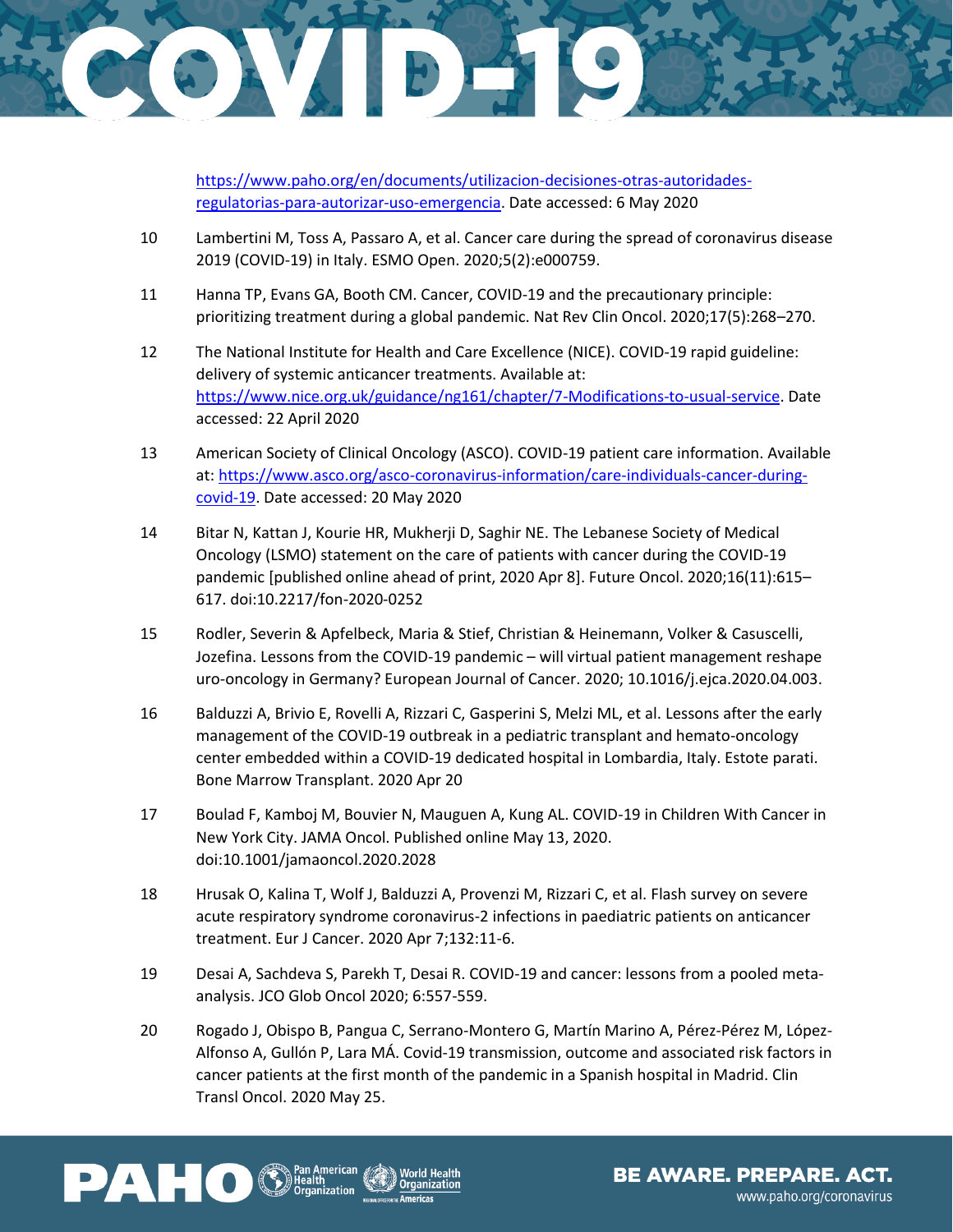

[https://www.paho.org/en/documents/utilizacion-decisiones-otras-autoridades](https://www.paho.org/en/documents/utilizacion-decisiones-otras-autoridades-regulatorias-para-autorizar-uso-emergencia)[regulatorias-para-autorizar-uso-emergencia.](https://www.paho.org/en/documents/utilizacion-decisiones-otras-autoridades-regulatorias-para-autorizar-uso-emergencia) Date accessed: 6 May 2020

- 10 Lambertini M, Toss A, Passaro A, et al. Cancer care during the spread of coronavirus disease 2019 (COVID-19) in Italy. ESMO Open. 2020;5(2):e000759.
- 11 Hanna TP, Evans GA, Booth CM. Cancer, COVID-19 and the precautionary principle: prioritizing treatment during a global pandemic. Nat Rev Clin Oncol. 2020;17(5):268–270.
- 12 The National Institute for Health and Care Excellence (NICE). COVID-19 rapid guideline: delivery of systemic anticancer treatments. Available at: [https://www.nice.org.uk/guidance/ng161/chapter/7-Modifications-to-usual-service.](https://www.nice.org.uk/guidance/ng161/chapter/7-Modifications-to-usual-service) Date accessed: 22 April 2020
- 13 American Society of Clinical Oncology (ASCO). COVID-19 patient care information. Available at: [https://www.asco.org/asco-coronavirus-information/care-individuals-cancer-during](https://www.asco.org/asco-coronavirus-information/care-individuals-cancer-during-covid-19)[covid-19.](https://www.asco.org/asco-coronavirus-information/care-individuals-cancer-during-covid-19) Date accessed: 20 May 2020
- 14 Bitar N, Kattan J, Kourie HR, Mukherji D, Saghir NE. The Lebanese Society of Medical Oncology (LSMO) statement on the care of patients with cancer during the COVID-19 pandemic [published online ahead of print, 2020 Apr 8]. Future Oncol. 2020;16(11):615– 617. doi:10.2217/fon-2020-0252
- 15 Rodler, Severin & Apfelbeck, Maria & Stief, Christian & Heinemann, Volker & Casuscelli, Jozefina. Lessons from the COVID-19 pandemic – will virtual patient management reshape uro-oncology in Germany? European Journal of Cancer. 2020; 10.1016/j.ejca.2020.04.003.
- 16 Balduzzi A, Brivio E, Rovelli A, Rizzari C, Gasperini S, Melzi ML, et al. Lessons after the early management of the COVID-19 outbreak in a pediatric transplant and hemato-oncology center embedded within a COVID-19 dedicated hospital in Lombardia, Italy. Estote parati. Bone Marrow Transplant. 2020 Apr 20
- 17 Boulad F, Kamboj M, Bouvier N, Mauguen A, Kung AL. COVID-19 in Children With Cancer in New York City. JAMA Oncol. Published online May 13, 2020. doi:10.1001/jamaoncol.2020.2028
- 18 Hrusak O, Kalina T, Wolf J, Balduzzi A, Provenzi M, Rizzari C, et al. Flash survey on severe acute respiratory syndrome coronavirus-2 infections in paediatric patients on anticancer treatment. Eur J Cancer. 2020 Apr 7;132:11-6.
- 19 Desai A, Sachdeva S, Parekh T, Desai R. COVID-19 and cancer: lessons from a pooled metaanalysis. JCO Glob Oncol 2020; 6:557-559.
- 20 Rogado J, Obispo B, Pangua C, Serrano-Montero G, Martín Marino A, Pérez-Pérez M, López-Alfonso A, Gullón P, Lara MÁ. Covid-19 transmission, outcome and associated risk factors in cancer patients at the first month of the pandemic in a Spanish hospital in Madrid. Clin Transl Oncol. 2020 May 25.



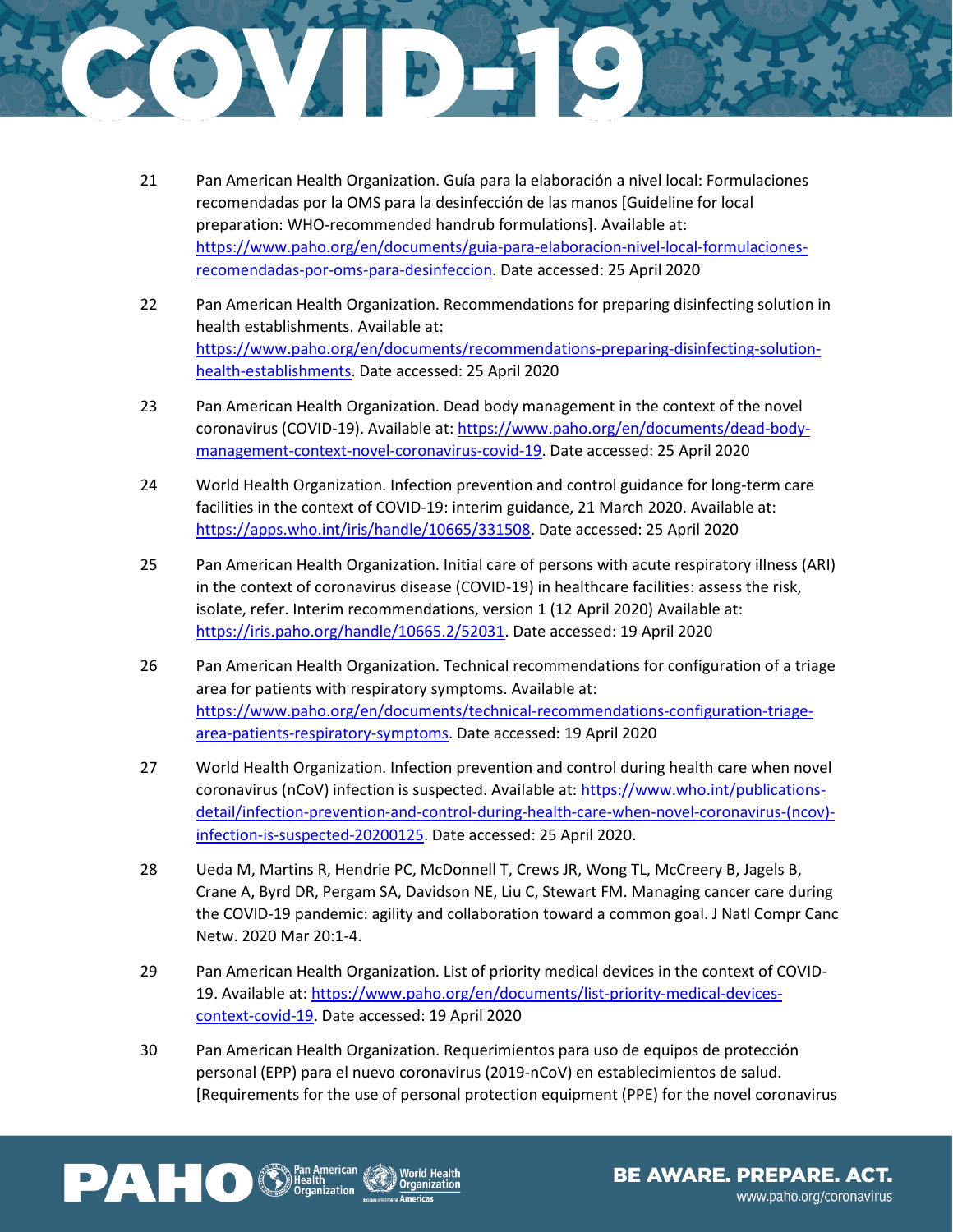

- 21 Pan American Health Organization. Guía para la elaboración a nivel local: Formulaciones recomendadas por la OMS para la desinfección de las manos [Guideline for local preparation: WHO-recommended handrub formulations]. Available at: [https://www.paho.org/en/documents/guia-para-elaboracion-nivel-local-formulaciones](https://www.paho.org/en/documents/guia-para-elaboracion-nivel-local-formulaciones-recomendadas-por-oms-para-desinfeccion)[recomendadas-por-oms-para-desinfeccion.](https://www.paho.org/en/documents/guia-para-elaboracion-nivel-local-formulaciones-recomendadas-por-oms-para-desinfeccion) Date accessed: 25 April 2020
- 22 Pan American Health Organization. Recommendations for preparing disinfecting solution in health establishments. Available at: [https://www.paho.org/en/documents/recommendations-preparing-disinfecting-solution](https://www.paho.org/en/documents/recommendations-preparing-disinfecting-solution-health-establishments)[health-establishments.](https://www.paho.org/en/documents/recommendations-preparing-disinfecting-solution-health-establishments) Date accessed: 25 April 2020
- 23 Pan American Health Organization. Dead body management in the context of the novel coronavirus (COVID-19). Available at: [https://www.paho.org/en/documents/dead-body](https://www.paho.org/en/documents/dead-body-management-context-novel-coronavirus-covid-19)[management-context-novel-coronavirus-covid-19.](https://www.paho.org/en/documents/dead-body-management-context-novel-coronavirus-covid-19) Date accessed: 25 April 2020
- 24 World Health Organization. Infection prevention and control guidance for long-term care facilities in the context of COVID-19: interim guidance, 21 March 2020. Available at: [https://apps.who.int/iris/handle/10665/331508.](https://apps.who.int/iris/handle/10665/331508) Date accessed: 25 April 2020
- 25 Pan American Health Organization. Initial care of persons with acute respiratory illness (ARI) in the context of coronavirus disease (COVID-19) in healthcare facilities: assess the risk, isolate, refer. Interim recommendations, version 1 (12 April 2020) Available at: [https://iris.paho.org/handle/10665.2/52031.](https://iris.paho.org/handle/10665.2/52031) Date accessed: 19 April 2020
- 26 Pan American Health Organization. Technical recommendations for configuration of a triage area for patients with respiratory symptoms. Available at: [https://www.paho.org/en/documents/technical-recommendations-configuration-triage](https://www.paho.org/en/documents/technical-recommendations-configuration-triage-area-patients-respiratory-symptoms)[area-patients-respiratory-symptoms.](https://www.paho.org/en/documents/technical-recommendations-configuration-triage-area-patients-respiratory-symptoms) Date accessed: 19 April 2020
- 27 World Health Organization. Infection prevention and control during health care when novel coronavirus (nCoV) infection is suspected. Available at: [https://www.who.int/publications](https://www.who.int/publications-detail/infection-prevention-and-control-during-health-care-when-novel-coronavirus-(ncov)-infection-is-suspected-20200125)[detail/infection-prevention-and-control-during-health-care-when-novel-coronavirus-\(ncov\)](https://www.who.int/publications-detail/infection-prevention-and-control-during-health-care-when-novel-coronavirus-(ncov)-infection-is-suspected-20200125) [infection-is-suspected-20200125.](https://www.who.int/publications-detail/infection-prevention-and-control-during-health-care-when-novel-coronavirus-(ncov)-infection-is-suspected-20200125) Date accessed: 25 April 2020.
- 28 Ueda M, Martins R, Hendrie PC, McDonnell T, Crews JR, Wong TL, McCreery B, Jagels B, Crane A, Byrd DR, Pergam SA, Davidson NE, Liu C, Stewart FM. Managing cancer care during the COVID-19 pandemic: agility and collaboration toward a common goal. J Natl Compr Canc Netw. 2020 Mar 20:1-4.
- 29 Pan American Health Organization. List of priority medical devices in the context of COVID19. Available at: [https://www.paho.org/en/documents/list-priority-medical-devices](https://www.paho.org/en/documents/list-priority-medical-devices-context-covid-19)[context-covid-19.](https://www.paho.org/en/documents/list-priority-medical-devices-context-covid-19) Date accessed: 19 April 2020
- 30 Pan American Health Organization. Requerimientos para uso de equipos de protección personal (EPP) para el nuevo coronavirus (2019-nCoV) en establecimientos de salud. [Requirements for the use of personal protection equipment (PPE) for the novel coronavirus

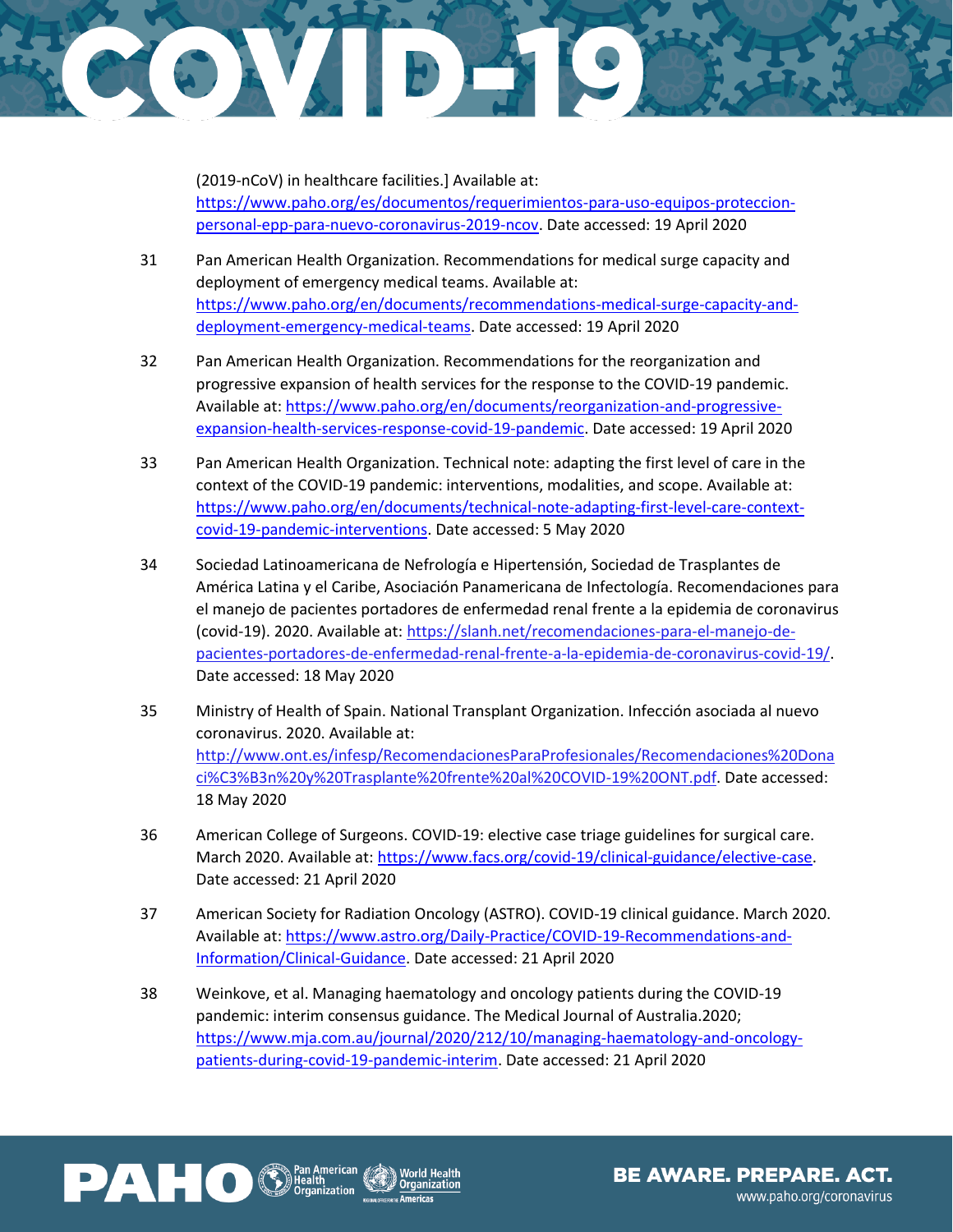

(2019-nCoV) in healthcare facilities.] Available at: [https://www.paho.org/es/documentos/requerimientos-para-uso-equipos-proteccion](https://www.paho.org/es/documentos/requerimientos-para-uso-equipos-proteccion-personal-epp-para-nuevo-coronavirus-2019-ncov)[personal-epp-para-nuevo-coronavirus-2019-ncov.](https://www.paho.org/es/documentos/requerimientos-para-uso-equipos-proteccion-personal-epp-para-nuevo-coronavirus-2019-ncov) Date accessed: 19 April 2020

- 31 Pan American Health Organization. Recommendations for medical surge capacity and deployment of emergency medical teams. Available at: [https://www.paho.org/en/documents/recommendations-medical-surge-capacity-and](https://www.paho.org/en/documents/recommendations-medical-surge-capacity-and-deployment-emergency-medical-teams)[deployment-emergency-medical-teams.](https://www.paho.org/en/documents/recommendations-medical-surge-capacity-and-deployment-emergency-medical-teams) Date accessed: 19 April 2020
- 32 Pan American Health Organization. Recommendations for the reorganization and progressive expansion of health services for the response to the COVID-19 pandemic. Available at[: https://www.paho.org/en/documents/reorganization-and-progressive](https://www.paho.org/en/documents/reorganization-and-progressive-expansion-health-services-response-covid-19-pandemic)[expansion-health-services-response-covid-19-pandemic.](https://www.paho.org/en/documents/reorganization-and-progressive-expansion-health-services-response-covid-19-pandemic) Date accessed: 19 April 2020
- 33 Pan American Health Organization. Technical note: adapting the first level of care in the context of the COVID-19 pandemic: interventions, modalities, and scope. Available at: [https://www.paho.org/en/documents/technical-note-adapting-first-level-care-context](https://www.paho.org/en/documents/technical-note-adapting-first-level-care-context-covid-19-pandemic-interventions)[covid-19-pandemic-interventions.](https://www.paho.org/en/documents/technical-note-adapting-first-level-care-context-covid-19-pandemic-interventions) Date accessed: 5 May 2020
- 34 Sociedad Latinoamericana de Nefrología e Hipertensión, Sociedad de Trasplantes de América Latina y el Caribe, Asociación Panamericana de Infectología. Recomendaciones para el manejo de pacientes portadores de enfermedad renal frente a la epidemia de coronavirus (covid-19). 2020. Available at: [https://slanh.net/recomendaciones-para-el-manejo-de](https://slanh.net/recomendaciones-para-el-manejo-de-pacientes-portadores-de-enfermedad-renal-frente-a-la-epidemia-de-coronavirus-covid-19/)[pacientes-portadores-de-enfermedad-renal-frente-a-la-epidemia-de-coronavirus-covid-19/.](https://slanh.net/recomendaciones-para-el-manejo-de-pacientes-portadores-de-enfermedad-renal-frente-a-la-epidemia-de-coronavirus-covid-19/) Date accessed: 18 May 2020
- 35 Ministry of Health of Spain. National Transplant Organization. Infección asociada al nuevo coronavirus. 2020. Available at: [http://www.ont.es/infesp/RecomendacionesParaProfesionales/Recomendaciones%20Dona](http://www.ont.es/infesp/RecomendacionesParaProfesionales/Recomendaciones%20Donaci%C3%B3n%20y%20Trasplante%20frente%20al%20COVID-19%20ONT.pdf) [ci%C3%B3n%20y%20Trasplante%20frente%20al%20COVID-19%20ONT.pdf.](http://www.ont.es/infesp/RecomendacionesParaProfesionales/Recomendaciones%20Donaci%C3%B3n%20y%20Trasplante%20frente%20al%20COVID-19%20ONT.pdf) Date accessed: 18 May 2020
- 36 American College of Surgeons. COVID-19: elective case triage guidelines for surgical care. March 2020. Available at[: https://www.facs.org/covid-19/clinical-guidance/elective-case.](https://www.facs.org/covid-19/clinical-guidance/elective-case) Date accessed: 21 April 2020
- 37 American Society for Radiation Oncology (ASTRO). COVID-19 clinical guidance. March 2020. Available at[: https://www.astro.org/Daily-Practice/COVID-19-Recommendations-and-](https://www.astro.org/Daily-Practice/COVID-19-Recommendations-and-Information/Clinical-Guidance)[Information/Clinical-Guidance.](https://www.astro.org/Daily-Practice/COVID-19-Recommendations-and-Information/Clinical-Guidance) Date accessed: 21 April 2020
- 38 Weinkove, et al. Managing haematology and oncology patients during the COVID-19 pandemic: interim consensus guidance. The Medical Journal of Australia.2020; [https://www.mja.com.au/journal/2020/212/10/managing-haematology-and-oncology](https://www.mja.com.au/journal/2020/212/10/managing-haematology-and-oncology-patients-during-covid-19-pandemic-interim)[patients-during-covid-19-pandemic-interim.](https://www.mja.com.au/journal/2020/212/10/managing-haematology-and-oncology-patients-during-covid-19-pandemic-interim) Date accessed: 21 April 2020